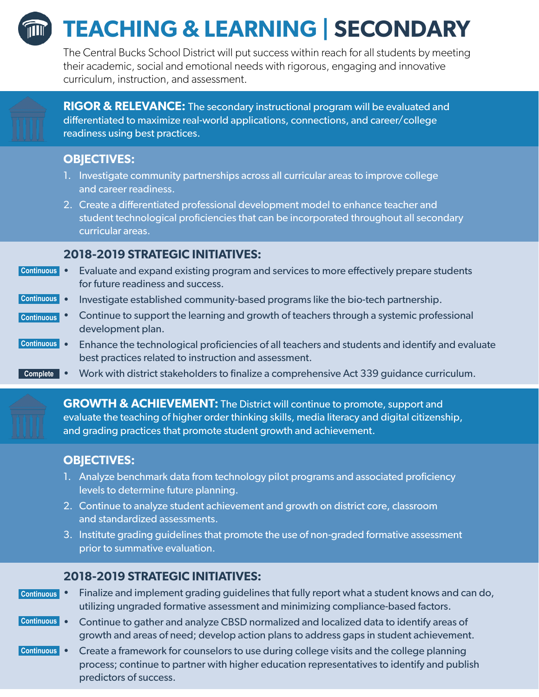

# **TEACHING & LEARNING | SECONDARY**

The Central Bucks School District will put success within reach for all students by meeting their academic, social and emotional needs with rigorous, engaging and innovative curriculum, instruction, and assessment.



**RIGOR & RELEVANCE:** The secondary instructional program will be evaluated and differentiated to maximize real-world applications, connections, and career/college readiness using best practices.

#### **OBJECTIVES:**

- 1. Investigate community partnerships across all curricular areas to improve college and career readiness.
- 2. Create a differentiated professional development model to enhance teacher and student technological proficiencies that can be incorporated throughout all secondary curricular areas.

#### **2018-2019 STRATEGIC INITIATIVES:**

- Evaluate and expand existing program and services to more effectively prepare students **Continuous** for future readiness and success.
- Investigate established community-based programs like the bio-tech partnership. **Continuous**
- Continue to support the learning and growth of teachers through a systemic professional development plan. **Continuous**
- Enhance the technological proficiencies of all teachers and students and identify and evaluate best practices related to instruction and assessment. **Continuous**
- Work with district stakeholders to finalize a comprehensive Act 339 guidance curriculum. **Complete**

**GROWTH & ACHIEVEMENT:** The District will continue to promote, support and evaluate the teaching of higher order thinking skills, media literacy and digital citizenship, and grading practices that promote student growth and achievement.

## **OBJECTIVES:**

- 1. Analyze benchmark data from technology pilot programs and associated proficiency levels to determine future planning.
- 2. Continue to analyze student achievement and growth on district core, classroom and standardized assessments.
- 3. Institute grading guidelines that promote the use of non-graded formative assessment prior to summative evaluation.

## **2018-2019 STRATEGIC INITIATIVES:**

- Finalize and implement grading guidelines that fully report what a student knows and can do, utilizing ungraded formative assessment and minimizing compliance-based factors. **Continuous**
- Continue to gather and analyze CBSD normalized and localized data to identify areas of growth and areas of need; develop action plans to address gaps in student achievement. **Continuous**
- Create a framework for counselors to use during college visits and the college planning process; continue to partner with higher education representatives to identify and publish predictors of success. **Continuous**